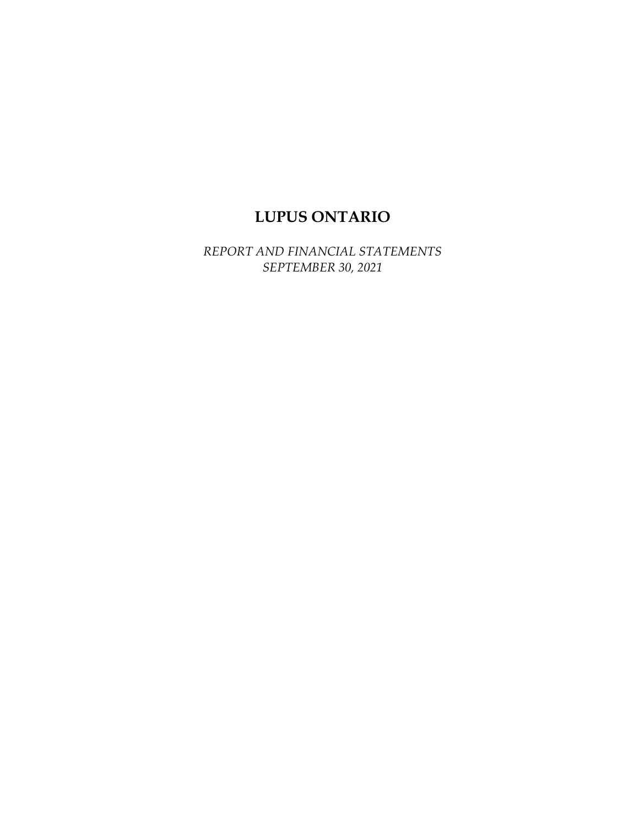# **LUPUS ONTARIO**

*REPORT AND FINANCIAL STATEMENTS SEPTEMBER 30, 2021*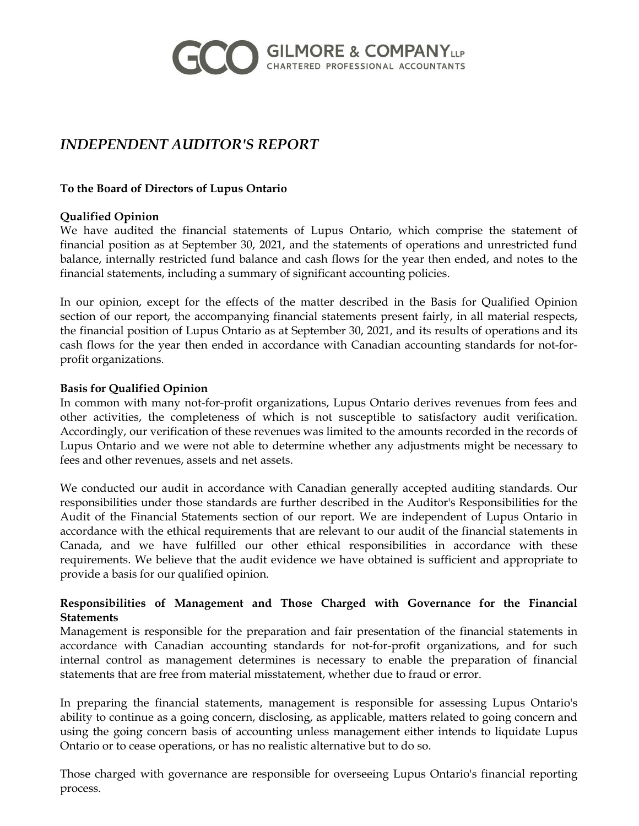

# *INDEPENDENT AUDITOR'S REPORT*

#### **To the Board of Directors of Lupus Ontario**

#### **Qualified Opinion**

We have audited the financial statements of Lupus Ontario, which comprise the statement of financial position as at September 30, 2021, and the statements of operations and unrestricted fund balance, internally restricted fund balance and cash flows for the year then ended, and notes to the financial statements, including a summary of significant accounting policies.

In our opinion, except for the effects of the matter described in the Basis for Qualified Opinion section of our report, the accompanying financial statements present fairly, in all material respects, the financial position of Lupus Ontario as at September 30, 2021, and its results of operations and its cash flows for the year then ended in accordance with Canadian accounting standards for not-forprofit organizations.

#### **Basis for Qualified Opinion**

In common with many not-for-profit organizations, Lupus Ontario derives revenues from fees and other activities, the completeness of which is not susceptible to satisfactory audit verification. Accordingly, our verification of these revenues was limited to the amounts recorded in the records of Lupus Ontario and we were not able to determine whether any adjustments might be necessary to fees and other revenues, assets and net assets.

We conducted our audit in accordance with Canadian generally accepted auditing standards. Our responsibilities under those standards are further described in the Auditor's Responsibilities for the Audit of the Financial Statements section of our report. We are independent of Lupus Ontario in accordance with the ethical requirements that are relevant to our audit of the financial statements in Canada, and we have fulfilled our other ethical responsibilities in accordance with these requirements. We believe that the audit evidence we have obtained is sufficient and appropriate to provide a basis for our qualified opinion.

#### **Responsibilities of Management and Those Charged with Governance for the Financial Statements**

Management is responsible for the preparation and fair presentation of the financial statements in accordance with Canadian accounting standards for not-for-profit organizations, and for such internal control as management determines is necessary to enable the preparation of financial statements that are free from material misstatement, whether due to fraud or error.

In preparing the financial statements, management is responsible for assessing Lupus Ontario's ability to continue as a going concern, disclosing, as applicable, matters related to going concern and using the going concern basis of accounting unless management either intends to liquidate Lupus Ontario or to cease operations, or has no realistic alternative but to do so.

Those charged with governance are responsible for overseeing Lupus Ontario's financial reporting process.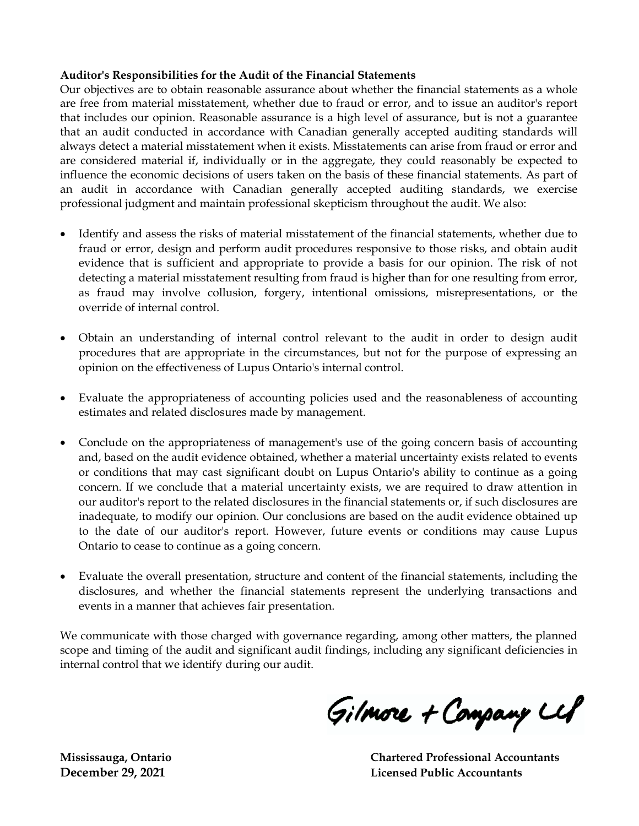#### **Auditor's Responsibilities for the Audit of the Financial Statements**

Our objectives are to obtain reasonable assurance about whether the financial statements as a whole are free from material misstatement, whether due to fraud or error, and to issue an auditor's report that includes our opinion. Reasonable assurance is a high level of assurance, but is not a guarantee that an audit conducted in accordance with Canadian generally accepted auditing standards will always detect a material misstatement when it exists. Misstatements can arise from fraud or error and are considered material if, individually or in the aggregate, they could reasonably be expected to influence the economic decisions of users taken on the basis of these financial statements. As part of an audit in accordance with Canadian generally accepted auditing standards, we exercise professional judgment and maintain professional skepticism throughout the audit. We also:

- Identify and assess the risks of material misstatement of the financial statements, whether due to fraud or error, design and perform audit procedures responsive to those risks, and obtain audit evidence that is sufficient and appropriate to provide a basis for our opinion. The risk of not detecting a material misstatement resulting from fraud is higher than for one resulting from error, as fraud may involve collusion, forgery, intentional omissions, misrepresentations, or the override of internal control.
- Obtain an understanding of internal control relevant to the audit in order to design audit procedures that are appropriate in the circumstances, but not for the purpose of expressing an opinion on the effectiveness of Lupus Ontario's internal control.
- Evaluate the appropriateness of accounting policies used and the reasonableness of accounting estimates and related disclosures made by management.
- Conclude on the appropriateness of management's use of the going concern basis of accounting and, based on the audit evidence obtained, whether a material uncertainty exists related to events or conditions that may cast significant doubt on Lupus Ontario's ability to continue as a going concern. If we conclude that a material uncertainty exists, we are required to draw attention in our auditor's report to the related disclosures in the financial statements or, if such disclosures are inadequate, to modify our opinion. Our conclusions are based on the audit evidence obtained up to the date of our auditor's report. However, future events or conditions may cause Lupus Ontario to cease to continue as a going concern.
- Evaluate the overall presentation, structure and content of the financial statements, including the disclosures, and whether the financial statements represent the underlying transactions and events in a manner that achieves fair presentation.

We communicate with those charged with governance regarding, among other matters, the planned scope and timing of the audit and significant audit findings, including any significant deficiencies in internal control that we identify during our audit.

Gilmore + Company Ll

**Mississauga, Ontario Chartered Professional Accountants December 29, 2021 Licensed Public Accountants**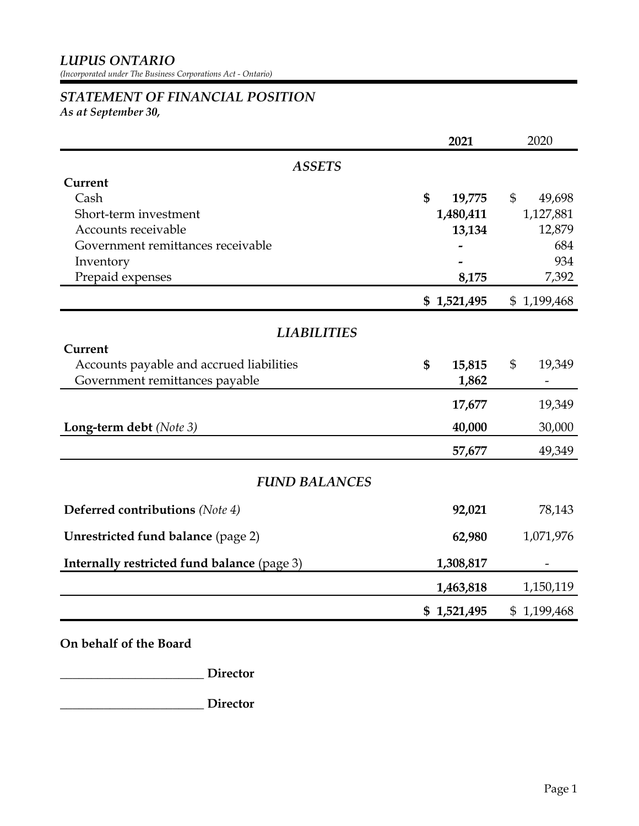*(Incorporated under The Business Corporations Act - Ontario)*

# *STATEMENT OF FINANCIAL POSITION*

*As at September 30,* 

|                                             | 2021         | 2020                   |  |  |  |
|---------------------------------------------|--------------|------------------------|--|--|--|
| <b>ASSETS</b>                               |              |                        |  |  |  |
| Current                                     |              |                        |  |  |  |
| Cash                                        | \$<br>19,775 | $\mathbb{S}$<br>49,698 |  |  |  |
| Short-term investment                       | 1,480,411    | 1,127,881              |  |  |  |
| Accounts receivable                         | 13,134       | 12,879                 |  |  |  |
| Government remittances receivable           |              | 684                    |  |  |  |
| Inventory                                   |              | 934                    |  |  |  |
| Prepaid expenses                            | 8,175        | 7,392                  |  |  |  |
|                                             | \$1,521,495  | \$1,199,468            |  |  |  |
| <b>LIABILITIES</b>                          |              |                        |  |  |  |
| Current                                     |              |                        |  |  |  |
| Accounts payable and accrued liabilities    | \$<br>15,815 | \$<br>19,349           |  |  |  |
| Government remittances payable              | 1,862        |                        |  |  |  |
|                                             | 17,677       | 19,349                 |  |  |  |
| Long-term debt (Note 3)                     | 40,000       | 30,000                 |  |  |  |
|                                             | 57,677       | 49,349                 |  |  |  |
| <b>FUND BALANCES</b>                        |              |                        |  |  |  |
| <b>Deferred contributions</b> (Note 4)      | 92,021       | 78,143                 |  |  |  |
| <b>Unrestricted fund balance (page 2)</b>   | 62,980       | 1,071,976              |  |  |  |
| Internally restricted fund balance (page 3) | 1,308,817    |                        |  |  |  |
|                                             | 1,463,818    | 1,150,119              |  |  |  |
|                                             | \$1,521,495  | \$1,199,468            |  |  |  |

**On behalf of the Board**

**\_\_\_\_\_\_\_\_\_\_\_\_\_\_\_\_\_\_\_\_\_\_\_ Director**

**\_\_\_\_\_\_\_\_\_\_\_\_\_\_\_\_\_\_\_\_\_\_\_ Director**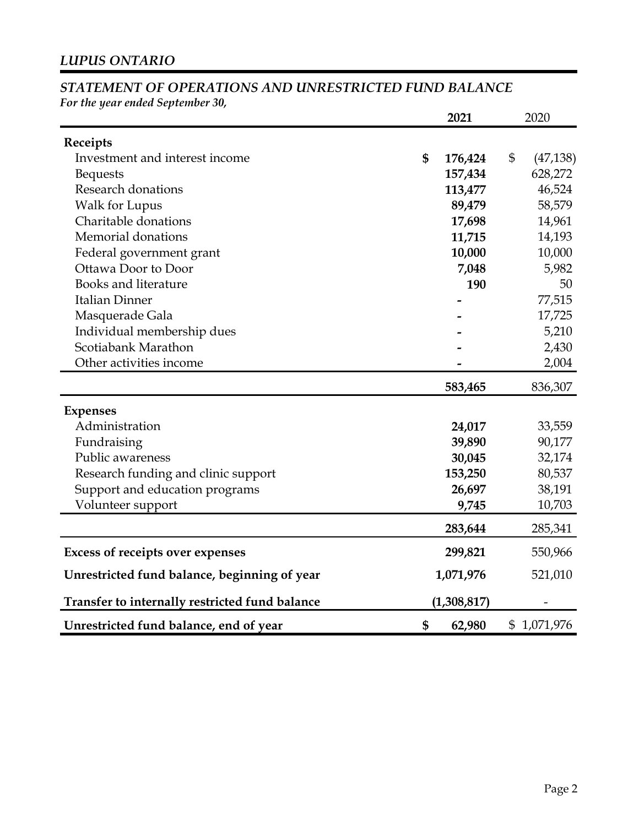# *STATEMENT OF OPERATIONS AND UNRESTRICTED FUND BALANCE*

*For the year ended September 30,* 

|                                                | 2021<br>2020 |             |                             |
|------------------------------------------------|--------------|-------------|-----------------------------|
| Receipts                                       |              |             |                             |
| Investment and interest income                 | \$           | 176,424     | $\mathfrak{S}$<br>(47, 138) |
| <b>Bequests</b>                                |              | 157,434     | 628,272                     |
| Research donations                             |              | 113,477     | 46,524                      |
| <b>Walk for Lupus</b>                          |              | 89,479      | 58,579                      |
| Charitable donations                           |              | 17,698      | 14,961                      |
| Memorial donations                             |              | 11,715      | 14,193                      |
| Federal government grant                       |              | 10,000      | 10,000                      |
| Ottawa Door to Door                            |              | 7,048       | 5,982                       |
| <b>Books and literature</b>                    |              | 190         | 50                          |
| <b>Italian Dinner</b>                          |              |             | 77,515                      |
| Masquerade Gala                                |              |             | 17,725                      |
| Individual membership dues                     |              |             | 5,210                       |
| Scotiabank Marathon                            |              |             | 2,430                       |
| Other activities income                        |              |             | 2,004                       |
|                                                |              | 583,465     | 836,307                     |
| <b>Expenses</b>                                |              |             |                             |
| Administration                                 |              | 24,017      | 33,559                      |
| Fundraising                                    |              | 39,890      | 90,177                      |
| Public awareness                               |              | 30,045      | 32,174                      |
| Research funding and clinic support            |              | 153,250     | 80,537                      |
| Support and education programs                 |              | 26,697      | 38,191                      |
| Volunteer support                              |              | 9,745       | 10,703                      |
|                                                |              | 283,644     | 285,341                     |
| <b>Excess of receipts over expenses</b>        |              | 299,821     | 550,966                     |
| Unrestricted fund balance, beginning of year   |              | 1,071,976   | 521,010                     |
| Transfer to internally restricted fund balance |              | (1,308,817) |                             |
| Unrestricted fund balance, end of year         | \$           | 62,980      | \$1,071,976                 |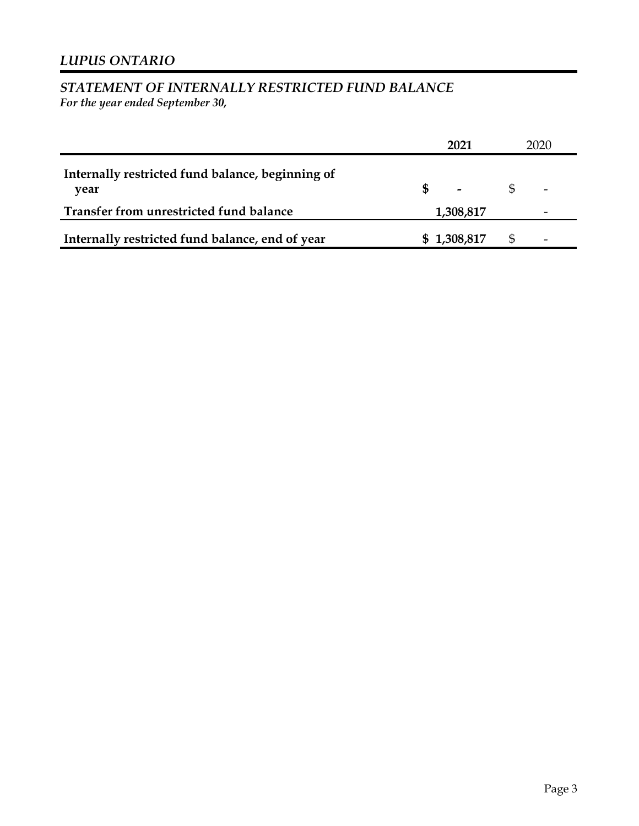# *STATEMENT OF INTERNALLY RESTRICTED FUND BALANCE*

*For the year ended September 30,* 

|                                                          | 2021                     |     | 2020                     |
|----------------------------------------------------------|--------------------------|-----|--------------------------|
| Internally restricted fund balance, beginning of<br>vear | $\overline{\phantom{a}}$ | \$. | $\overline{\phantom{a}}$ |
| Transfer from unrestricted fund balance                  | 1,308,817                |     |                          |
| Internally restricted fund balance, end of year          | \$1,308,817              | Ж   | $\overline{\phantom{a}}$ |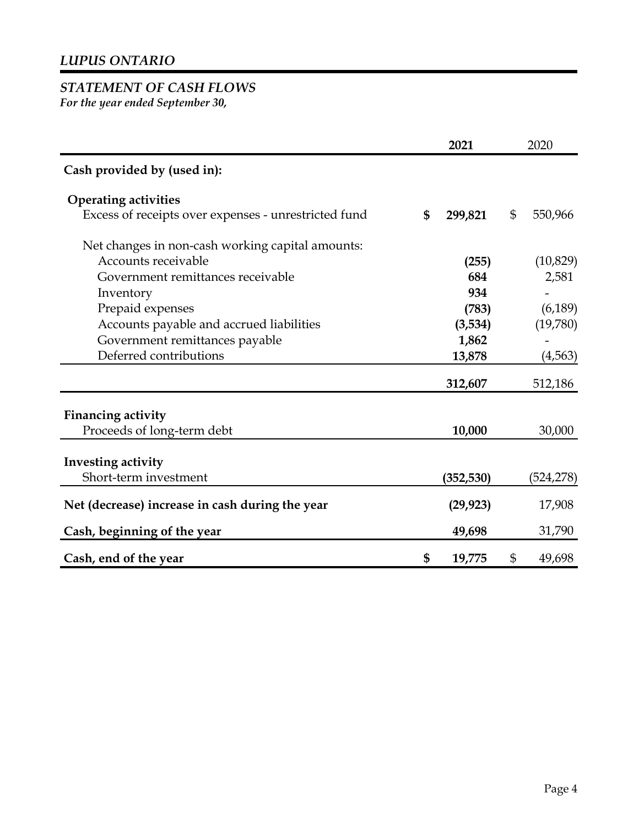# *STATEMENT OF CASH FLOWS*

*For the year ended September 30,* 

|                                                      |    | 2021       |              | 2020      |  |
|------------------------------------------------------|----|------------|--------------|-----------|--|
| Cash provided by (used in):                          |    |            |              |           |  |
| <b>Operating activities</b>                          |    |            |              |           |  |
| Excess of receipts over expenses - unrestricted fund | \$ | 299,821    | $\mathbb{S}$ | 550,966   |  |
| Net changes in non-cash working capital amounts:     |    |            |              |           |  |
| Accounts receivable                                  |    | (255)      |              | (10, 829) |  |
| Government remittances receivable                    |    | 684        |              | 2,581     |  |
| Inventory                                            |    | 934        |              |           |  |
| Prepaid expenses                                     |    | (783)      |              | (6, 189)  |  |
| Accounts payable and accrued liabilities             |    | (3,534)    |              | (19,780)  |  |
| Government remittances payable                       |    | 1,862      |              |           |  |
| Deferred contributions                               |    | 13,878     |              | (4,563)   |  |
|                                                      |    | 312,607    |              | 512,186   |  |
| <b>Financing activity</b>                            |    |            |              |           |  |
| Proceeds of long-term debt                           |    | 10,000     |              | 30,000    |  |
| Investing activity                                   |    |            |              |           |  |
| Short-term investment                                |    | (352, 530) |              | (524,278) |  |
| Net (decrease) increase in cash during the year      |    | (29, 923)  |              | 17,908    |  |
| Cash, beginning of the year                          |    | 49,698     |              | 31,790    |  |
| Cash, end of the year                                | \$ | 19,775     | \$           | 49,698    |  |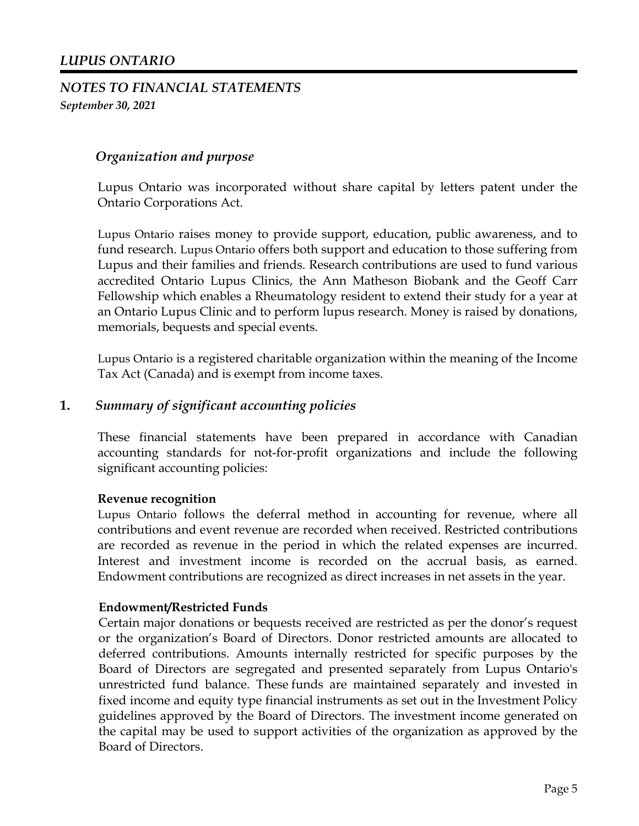## *LUPUS ONTARIO*

# *NOTES TO FINANCIAL STATEMENTS September 30, 2021*

#### *Organization and purpose*

Lupus Ontario was incorporated without share capital by letters patent under the Ontario Corporations Act.

Lupus Ontario raises money to provide support, education, public awareness, and to fund research. Lupus Ontario offers both support and education to those suffering from Lupus and their families and friends. Research contributions are used to fund various accredited Ontario Lupus Clinics, the Ann Matheson Biobank and the Geoff Carr Fellowship which enables a Rheumatology resident to extend their study for a year at an Ontario Lupus Clinic and to perform lupus research. Money is raised by donations, memorials, bequests and special events.

Lupus Ontario is a registered charitable organization within the meaning of the Income Tax Act (Canada) and is exempt from income taxes.

#### **1.** *Summary of significant accounting policies*

These financial statements have been prepared in accordance with Canadian accounting standards for not-for-profit organizations and include the following significant accounting policies:

#### **Revenue recognition**

Lupus Ontario follows the deferral method in accounting for revenue, where all contributions and event revenue are recorded when received. Restricted contributions are recorded as revenue in the period in which the related expenses are incurred. Interest and investment income is recorded on the accrual basis, as earned. Endowment contributions are recognized as direct increases in net assets in the year.

#### **Endowment/Restricted Funds**

Certain major donations or bequests received are restricted as per the donor's request or the organization's Board of Directors. Donor restricted amounts are allocated to deferred contributions. Amounts internally restricted for specific purposes by the Board of Directors are segregated and presented separately from Lupus Ontario's unrestricted fund balance. These funds are maintained separately and invested in fixed income and equity type financial instruments as set out in the Investment Policy guidelines approved by the Board of Directors. The investment income generated on the capital may be used to support activities of the organization as approved by the Board of Directors.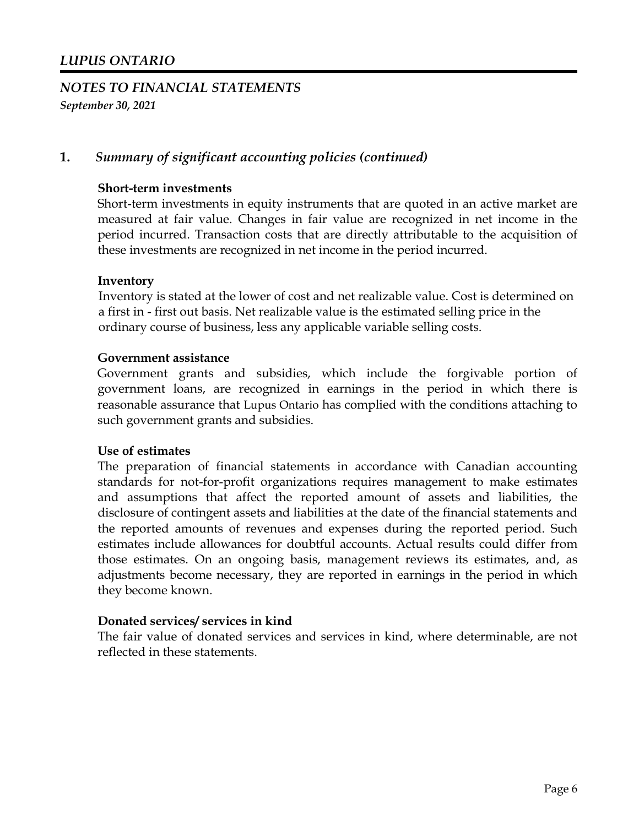## **1.** *Summary of significant accounting policies (continued)*

#### **Short-term investments**

Short-term investments in equity instruments that are quoted in an active market are measured at fair value. Changes in fair value are recognized in net income in the period incurred. Transaction costs that are directly attributable to the acquisition of these investments are recognized in net income in the period incurred.

#### **Inventory**

Inventory is stated at the lower of cost and net realizable value. Cost is determined on a first in - first out basis. Net realizable value is the estimated selling price in the ordinary course of business, less any applicable variable selling costs.

#### **Government assistance**

Government grants and subsidies, which include the forgivable portion of government loans, are recognized in earnings in the period in which there is reasonable assurance that Lupus Ontario has complied with the conditions attaching to such government grants and subsidies.

#### **Use of estimates**

The preparation of financial statements in accordance with Canadian accounting standards for not-for-profit organizations requires management to make estimates and assumptions that affect the reported amount of assets and liabilities, the disclosure of contingent assets and liabilities at the date of the financial statements and the reported amounts of revenues and expenses during the reported period. Such estimates include allowances for doubtful accounts. Actual results could differ from those estimates. On an ongoing basis, management reviews its estimates, and, as adjustments become necessary, they are reported in earnings in the period in which they become known.

#### **Donated services/ services in kind**

The fair value of donated services and services in kind, where determinable, are not reflected in these statements.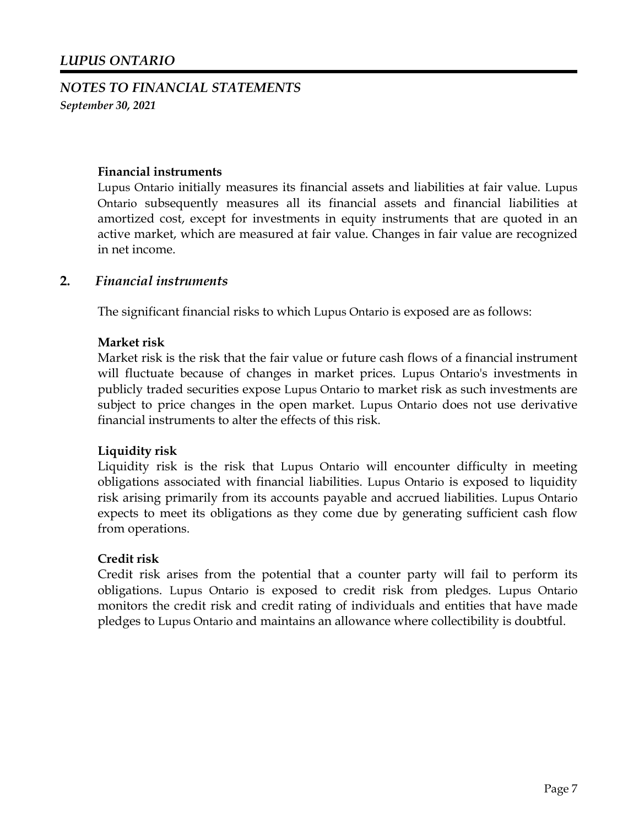#### **Financial instruments**

Lupus Ontario initially measures its financial assets and liabilities at fair value. Lupus Ontario subsequently measures all its financial assets and financial liabilities at amortized cost, except for investments in equity instruments that are quoted in an active market, which are measured at fair value. Changes in fair value are recognized in net income.

#### **2.** *Financial instruments*

The significant financial risks to which Lupus Ontario is exposed are as follows:

#### **Market risk**

Market risk is the risk that the fair value or future cash flows of a financial instrument will fluctuate because of changes in market prices. Lupus Ontario's investments in publicly traded securities expose Lupus Ontario to market risk as such investments are subject to price changes in the open market. Lupus Ontario does not use derivative financial instruments to alter the effects of this risk.

#### **Liquidity risk**

Liquidity risk is the risk that Lupus Ontario will encounter difficulty in meeting obligations associated with financial liabilities. Lupus Ontario is exposed to liquidity risk arising primarily from its accounts payable and accrued liabilities. Lupus Ontario expects to meet its obligations as they come due by generating sufficient cash flow from operations.

#### **Credit risk**

Credit risk arises from the potential that a counter party will fail to perform its obligations. Lupus Ontario is exposed to credit risk from pledges. Lupus Ontario monitors the credit risk and credit rating of individuals and entities that have made pledges to Lupus Ontario and maintains an allowance where collectibility is doubtful.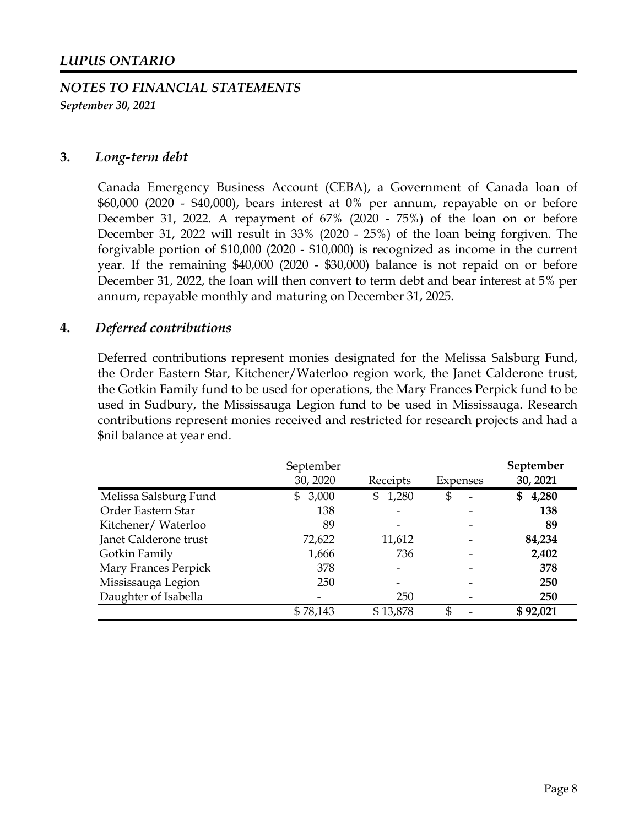#### **3.** *Long-term debt*

Canada Emergency Business Account (CEBA), a Government of Canada loan of \$60,000 (2020 - \$40,000), bears interest at 0% per annum, repayable on or before December 31, 2022. A repayment of 67% (2020 - 75%) of the loan on or before December 31, 2022 will result in 33% (2020 - 25%) of the loan being forgiven. The forgivable portion of \$10,000 (2020 - \$10,000) is recognized as income in the current year. If the remaining \$40,000 (2020 - \$30,000) balance is not repaid on or before December 31, 2022, the loan will then convert to term debt and bear interest at 5% per annum, repayable monthly and maturing on December 31, 2025.

#### **4.** *Deferred contributions*

Deferred contributions represent monies designated for the Melissa Salsburg Fund, the Order Eastern Star, Kitchener/Waterloo region work, the Janet Calderone trust, the Gotkin Family fund to be used for operations, the Mary Frances Perpick fund to be used in Sudbury, the Mississauga Legion fund to be used in Mississauga. Research contributions represent monies received and restricted for research projects and had a \$nil balance at year end.

|                       | September<br>30, 2020   | Receipts    | Expenses                       | September<br>30, 2021 |
|-----------------------|-------------------------|-------------|--------------------------------|-----------------------|
| Melissa Salsburg Fund | 3,000<br>$\mathbb{S}^-$ | \$<br>1,280 | \$<br>$\overline{\phantom{0}}$ | 4,280<br>S            |
| Order Eastern Star    | 138                     |             |                                | 138                   |
| Kitchener/Waterloo    | 89                      |             |                                | 89                    |
| Janet Calderone trust | 72,622                  | 11,612      |                                | 84,234                |
| Gotkin Family         | 1,666                   | 736         |                                | 2,402                 |
| Mary Frances Perpick  | 378                     |             |                                | 378                   |
| Mississauga Legion    | 250                     |             |                                | 250                   |
| Daughter of Isabella  | -                       | 250         |                                | 250                   |
|                       | \$78,143                | \$13,878    | \$                             | \$92,021              |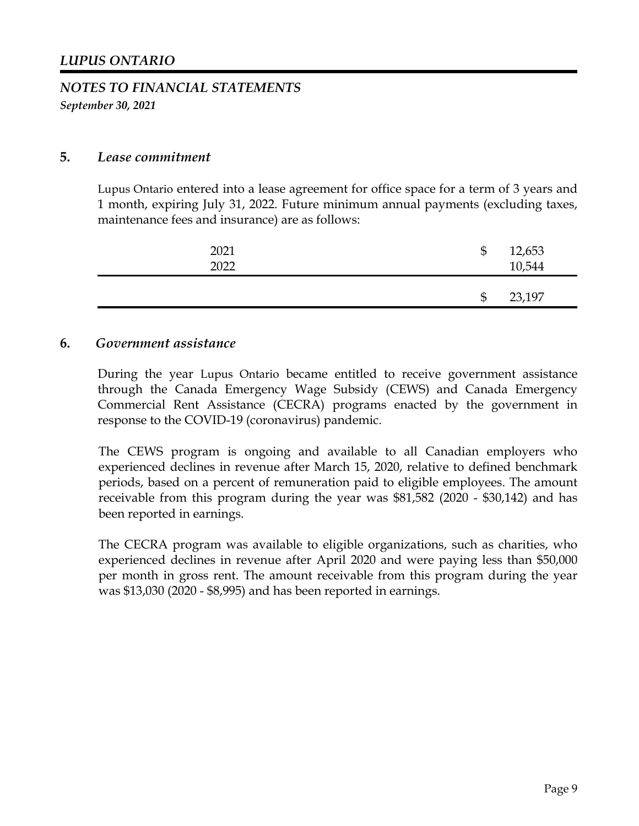#### **5.** *Lease commitment*

Lupus Ontario entered into a lease agreement for office space for a term of 3 years and 1 month, expiring July 31, 2022. Future minimum annual payments (excluding taxes, maintenance fees and insurance) are as follows:

| 2021<br>2022 | \$<br>12,653<br>10,544 |  |
|--------------|------------------------|--|
|              | \$<br>23,197           |  |

#### **6.** *Government assistance*

During the year Lupus Ontario became entitled to receive government assistance through the Canada Emergency Wage Subsidy (CEWS) and Canada Emergency Commercial Rent Assistance (CECRA) programs enacted by the government in response to the COVID-19 (coronavirus) pandemic.

The CEWS program is ongoing and available to all Canadian employers who experienced declines in revenue after March 15, 2020, relative to defined benchmark periods, based on a percent of remuneration paid to eligible employees. The amount receivable from this program during the year was \$81,582 (2020 - \$30,142) and has been reported in earnings.

The CECRA program was available to eligible organizations, such as charities, who experienced declines in revenue after April 2020 and were paying less than \$50,000 per month in gross rent. The amount receivable from this program during the year was \$13,030 (2020 - \$8,995) and has been reported in earnings.